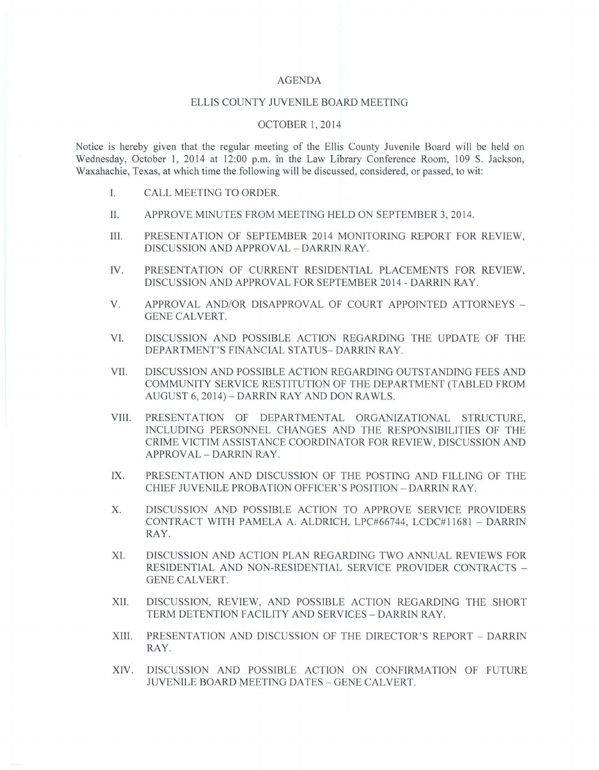#### AGENDA

#### ELLIS COUNTY JUVENILE BOARD MEETING

### OCTOBER I, 2014

Notice is hereby given that the regular meeting of the Ellis County Juvenile Board will be held on Wednesday, October I, 2014 at 12:00 p.m. in the Law Library Conference Room, 109 S. Jackson, Waxahachie, Texas, at which time the following will be discussed, considered, or passed, to wit:

- I. CALL MEETING TO ORDER.
- II. APPROVE MINUTES FROM MEETING HELD ON SEPTEMBER 3, 2014.
- HI. PRESENTATION OF SEPTEMBER 2014 MONITORING REPORT FOR REVIEW, DISCUSSION AND APPROVAL - DARRIN RAY.
- IV. PRESENTATION OF CURRENT RESIDENTIAL PLACEMENTS FOR REVIEW, DISCUSSION AND APPROVAL FOR SEPTEMBER 2014 - DARRIN RAY.
- V. APPROVAL AND/OR DISAPPROVAL OF COURT APPOINTED ATTORNEYS -GENE CALVERT.
- VI. DISCUSSION AND POSSIBLE ACTION REGARDING THE UPDATE OF THE DEPARTMENT'S FINANCIAL STATUS- DARRIN RAY .
- VII. DISCUSSION AND POSSIBLE ACTION REGARDING OUTSTANDING FEES AND COMMUNITY SERVICE RESTITUTION OF THE DEPARTMENT (TABLED FROM AUGUST 6, 2014) - DARRIN RAY AND DON RA WLS.
- VIII. PRESENTATION OF DEPARTMENTAL ORGANIZATIONAL STRUCTURE, INCLUDING PERSONNEL CHANGES AND THE RESPONSIBILITIES OF THE CRIME VICTIM ASSISTANCE COORDINATOR FOR REVIEW, DISCUSSION AND APPROVAL - DARRIN RAY.
- IX. PRESENTATION AND DISCUSSION OF THE POSTING AND FILLING OF THE CHIEF JUVENILE PROBATION OFFICER'S POSITION - DARRIN RAY.
- X. DISCUSSION AND POSSIBLE ACTION TO APPROVE SERVICE PROVIDERS CONTRACT WITH PAMELA A. ALDRICH, LPC#66744, LCDC#11681 - DARRIN RAY.
- XI. DISCUSSION AND ACTION PLAN REGARDING TWO ANNUAL REVIEWS FOR RESIDENTIAL AND NON-RESIDENTIAL SERVICE PROVIDER CONTRACTS - GENE CALVERT.
- XII. DISCUSSION, REVIEW, AND POSSIBLE ACTION REGARDING THE SHORT TERM DETENTION FACILITY AND SERVICES - DARRIN RAY.
- XIII. PRESENTATION AND DISCUSSION OF THE DIRECTOR'S REPORT DARRIN RAY.
- XIV. DISCUSSION AND POSSIBLE ACTION ON CONFIRMATION OF FUTURE JUVENILE BOARD MEETING DATES - GENE CALVERT.